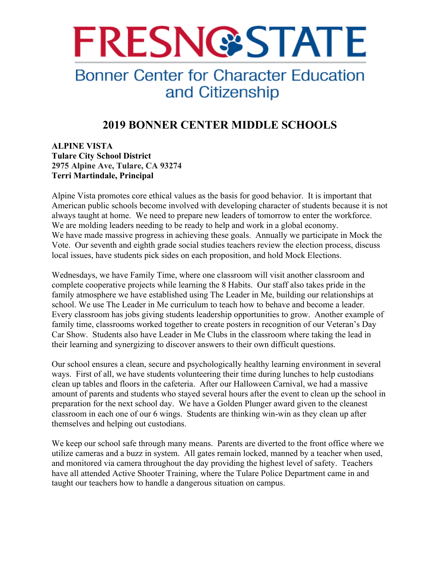

# **Bonner Center for Character Education** and Citizenship

# **2019 BONNER CENTER MIDDLE SCHOOLS**

## **ALPINE VISTA Tulare City School District 2975 Alpine Ave, Tulare, CA 93274 Terri Martindale, Principal**

Alpine Vista promotes core ethical values as the basis for good behavior. It is important that American public schools become involved with developing character of students because it is not always taught at home. We need to prepare new leaders of tomorrow to enter the workforce. We are molding leaders needing to be ready to help and work in a global economy. We have made massive progress in achieving these goals. Annually we participate in Mock the Vote. Our seventh and eighth grade social studies teachers review the election process, discuss local issues, have students pick sides on each proposition, and hold Mock Elections.

Wednesdays, we have Family Time, where one classroom will visit another classroom and complete cooperative projects while learning the 8 Habits. Our staff also takes pride in the family atmosphere we have established using The Leader in Me, building our relationships at school. We use The Leader in Me curriculum to teach how to behave and become a leader. Every classroom has jobs giving students leadership opportunities to grow. Another example of family time, classrooms worked together to create posters in recognition of our Veteran's Day Car Show. Students also have Leader in Me Clubs in the classroom where taking the lead in their learning and synergizing to discover answers to their own difficult questions.

Our school ensures a clean, secure and psychologically healthy learning environment in several ways. First of all, we have students volunteering their time during lunches to help custodians clean up tables and floors in the cafeteria. After our Halloween Carnival, we had a massive amount of parents and students who stayed several hours after the event to clean up the school in preparation for the next school day. We have a Golden Plunger award given to the cleanest classroom in each one of our 6 wings. Students are thinking win-win as they clean up after themselves and helping out custodians.

We keep our school safe through many means. Parents are diverted to the front office where we utilize cameras and a buzz in system. All gates remain locked, manned by a teacher when used, and monitored via camera throughout the day providing the highest level of safety. Teachers have all attended Active Shooter Training, where the Tulare Police Department came in and taught our teachers how to handle a dangerous situation on campus.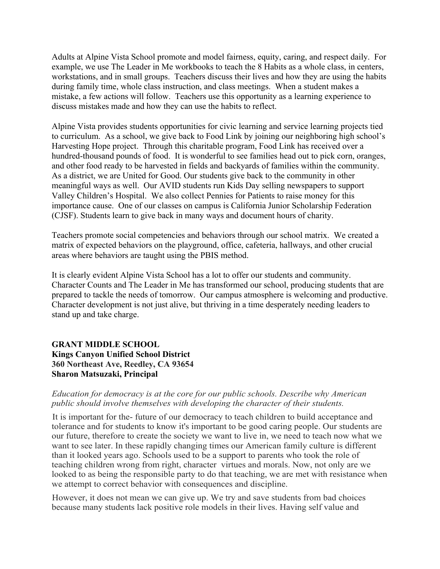Adults at Alpine Vista School promote and model fairness, equity, caring, and respect daily. For example, we use The Leader in Me workbooks to teach the 8 Habits as a whole class, in centers, workstations, and in small groups. Teachers discuss their lives and how they are using the habits during family time, whole class instruction, and class meetings. When a student makes a mistake, a few actions will follow. Teachers use this opportunity as a learning experience to discuss mistakes made and how they can use the habits to reflect.

Alpine Vista provides students opportunities for civic learning and service learning projects tied to curriculum. As a school, we give back to Food Link by joining our neighboring high school's Harvesting Hope project. Through this charitable program, Food Link has received over a hundred-thousand pounds of food. It is wonderful to see families head out to pick corn, oranges, and other food ready to be harvested in fields and backyards of families within the community. As a district, we are United for Good. Our students give back to the community in other meaningful ways as well. Our AVID students run Kids Day selling newspapers to support Valley Children's Hospital. We also collect Pennies for Patients to raise money for this importance cause. One of our classes on campus is California Junior Scholarship Federation (CJSF). Students learn to give back in many ways and document hours of charity.

Teachers promote social competencies and behaviors through our school matrix. We created a matrix of expected behaviors on the playground, office, cafeteria, hallways, and other crucial areas where behaviors are taught using the PBIS method.

It is clearly evident Alpine Vista School has a lot to offer our students and community. Character Counts and The Leader in Me has transformed our school, producing students that are prepared to tackle the needs of tomorrow. Our campus atmosphere is welcoming and productive. Character development is not just alive, but thriving in a time desperately needing leaders to stand up and take charge.

#### **GRANT MIDDLE SCHOOL Kings Canyon Unified School District 360 Northeast Ave, Reedley, CA 93654 Sharon Matsuzaki, Principal**

#### *Education for democracy is at the core for our public schools. Describe why American public should involve themselves with developing the character of their students.*

It is important for the- future of our democracy to teach children to build acceptance and tolerance and for students to know it's important to be good caring people. Our students are our future, therefore to create the society we want to live in, we need to teach now what we want to see later. In these rapidly changing times our American family culture is different than it looked years ago. Schools used to be a support to parents who took the role of teaching children wrong from right, character virtues and morals. Now, not only are we looked to as being the responsible party to do that teaching, we are met with resistance when we attempt to correct behavior with consequences and discipline.

However, it does not mean we can give up. We try and save students from bad choices because many students lack positive role models in their lives. Having self value and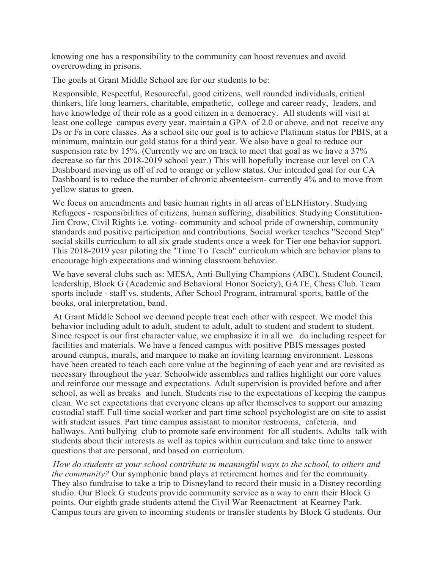knowing one has a responsibility to the community can boost revenues and avoid overcrowding in prisons.

The goals at Grant Middle School are for our students to be:

Responsible, Respectful, Resourceful, good citizens, well rounded individuals, critical thinkers, life long learners, charitable, empathetic, college and career ready, leaders, and have knowledge of their role as a good citizen in a democracy. All students will visit at least one college campus every year, maintain a GPA of 2.0 or above, and not receive any Ds or Fs in core classes. As a school site our goal is to achieve Platinum status for PBIS, at a minimum, maintain our gold status for a third year. We also have a goal to reduce our suspension rate by 15%. (Currently we are on track to meet that goal as we have a 37% decrease so far this 2018-2019 school year.) This will hopefully increase our level on CA Dashboard moving us off of red to orange or yellow status. Our intended goal for our CA Dashboard is to reduce the number of chronic absenteeism- currently 4% and to move from yellow status to green.

We focus on amendments and basic human rights in all areas of ELNHistory. Studying Refugees - responsibilities of citizens, human suffering, disabilities. Studying Constitution-Jim Crow, Civil Rights i.e. voting- community and school pride of ownership, community standards and positive participation and contributions. Social worker teaches "Second Step" social skills curriculum to all six grade students once a week for Tier one behavior support. This 2018-2019 year piloting the "Time To Teach" curriculum which are behavior plans to encourage high expectations and winning classroom behavior.

We have several clubs such as: MESA, Anti-Bullying Champions (ABC), Student Council, leadership, Block G (Academic and Behavioral Honor Society), GATE, Chess Club. Team sports include - staff vs. students, After School Program, intramural sports, battle of the books, oral interpretation, band.

At Grant Middle School we demand people treat each other with respect. We model this behavior including adult to adult, student to adult, adult to student and student to student. Since respect is our first character value, we emphasize it in all we do including respect for facilities and materials. We have a fenced campus with positive PBIS messages posted around campus, murals, and marquee to make an inviting learning environment. Lessons have been created to teach each core value at the beginning of each year and are revisited as necessary throughout the year. Schoolwide assemblies and rallies highlight our core values and reinforce our message and expectations. Adult supervision is provided before and after school, as well as breaks and lunch. Students rise to the expectations of keeping the campus clean. We set expectations that everyone cleans up after themselves to support our amazing custodial staff. Full time social worker and part time school psychologist are on site to assist with student issues. Part time campus assistant to monitor restrooms, cafeteria, and hallways. Anti bullying club to promote safe environment for all students. Adults talk with students about their interests as well as topics within curriculum and take time to answer questions that are personal, and based on curriculum.

*How do students at your school contribute in meaningful ways to the school, to others and the community?* Our symphonic band plays at retirement homes and for the community. They also fundraise to take a trip to Disneyland to record their music in a Disney recording studio. Our Block G students provide community service as a way to earn their Block G points. Our eighth grade students attend the Civil War Reenactment at Kearney Park. Campus tours are given to incoming students or transfer students by Block G students. Our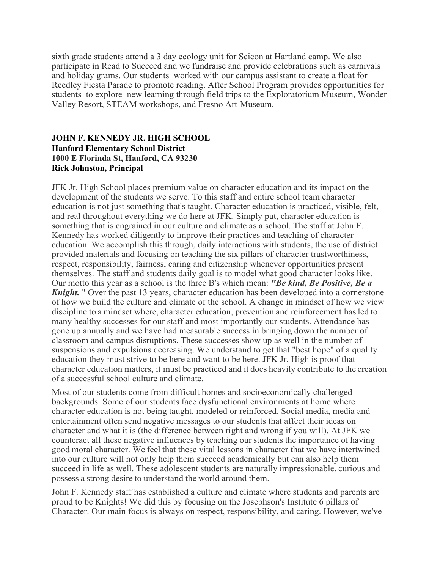sixth grade students attend a 3 day ecology unit for Scicon at Hartland camp. We also participate in Read to Succeed and we fundraise and provide celebrations such as carnivals and holiday grams. Our students worked with our campus assistant to create a float for Reedley Fiesta Parade to promote reading. After School Program provides opportunities for students to explore new learning through field trips to the Exploratorium Museum, Wonder Valley Resort, STEAM workshops, and Fresno Art Museum.

## **JOHN F. KENNEDY JR. HIGH SCHOOL Hanford Elementary School District 1000 E Florinda St, Hanford, CA 93230 Rick Johnston, Principal**

JFK Jr. High School places premium value on character education and its impact on the development of the students we serve. To this staff and entire school team character education is not just something that's taught. Character education is practiced, visible, felt, and real throughout everything we do here at JFK. Simply put, character education is something that is engrained in our culture and climate as a school. The staff at John F. Kennedy has worked diligently to improve their practices and teaching of character education. We accomplish this through, daily interactions with students, the use of district provided materials and focusing on teaching the six pillars of character trustworthiness, respect, responsibility, fairness, caring and citizenship whenever opportunities present themselves. The staff and students daily goal is to model what good character looks like. Our motto this year as a school is the three B's which mean: *"Be kind, Be Positive, Be a Knight.* " Over the past 13 years, character education has been developed into a cornerstone of how we build the culture and climate of the school. A change in mindset of how we view discipline to a mindset where, character education, prevention and reinforcement has led to many healthy successes for our staff and most importantly our students. Attendance has gone up annually and we have had measurable success in bringing down the number of classroom and campus disruptions. These successes show up as well in the number of suspensions and expulsions decreasing. We understand to get that "best hope" of a quality education they must strive to be here and want to be here. JFK Jr. High is proof that character education matters, it must be practiced and it does heavily contribute to the creation of a successful school culture and climate.

Most of our students come from difficult homes and socioeconomically challenged backgrounds. Some of our students face dysfunctional environments at home where character education is not being taught, modeled or reinforced. Social media, media and entertainment often send negative messages to our students that affect their ideas on character and what it is (the difference between right and wrong if you will). At JFK we counteract all these negative influences by teaching ourstudents the importance of having good moral character. We feel that these vital lessons in character that we have intertwined into our culture will not only help them succeed academically but can also help them succeed in life as well. These adolescent students are naturally impressionable, curious and possess a strong desire to understand the world around them.

John F. Kennedy staff has established a culture and climate where students and parents are proud to be Knights! We did this by focusing on the Josephson's Institute 6 pillars of Character. Our main focus is always on respect, responsibility, and caring. However, we've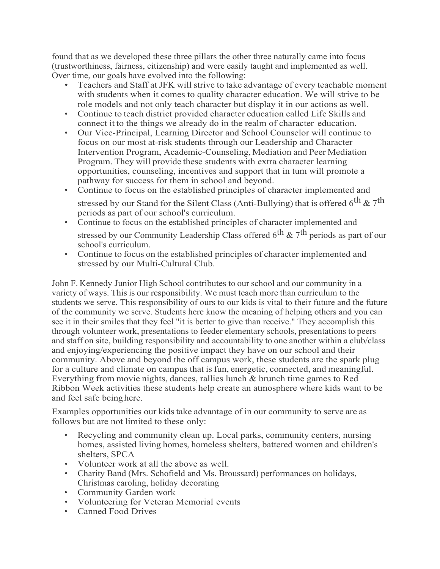found that as we developed these three pillars the other three naturally came into focus (trustworthiness, fairness, citizenship) and were easily taught and implemented as well. Over time, our goals have evolved into the following:

- Teachers and Staff atJFK will strive to take advantage of every teachable moment with students when it comes to quality character education. We will strive to be role models and not only teach character but display it in our actions as well.
- Continue to teach district provided character education called Life Skills and connect it to the things we already do in the realm of character education.
- Our Vice-Principal, Learning Director and School Counselor will continue to focus on our most at-risk students through our Leadership and Character Intervention Program, Academic-Counseling, Mediation and Peer Mediation Program. They will provide these students with extra character learning opportunities, counseling, incentives and support that in tum will promote a pathway for success for them in school and beyond.
- Continue to focus on the established principles of character implemented and stressed by our Stand for the Silent Class (Anti-Bullying) that is offered  $6^{th}$  &  $7^{th}$ periods as part of our school's curriculum.
- Continue to focus on the established principles of character implemented and stressed by our Community Leadership Class offered  $6<sup>th</sup>$  &  $7<sup>th</sup>$  periods as part of our school's curriculum.
- Continue to focus on the established principles of character implemented and stressed by our Multi-Cultural Club.

John F. Kennedy Junior High School contributes to ourschool and our community in a variety of ways. This is our responsibility. We must teach more than curriculum to the students we serve. This responsibility of ours to our kids is vital to their future and the future of the community we serve. Students here know the meaning of helping others and you can see it in their smiles that they feel "it is better to give than receive." They accomplish this through volunteer work, presentations to feeder elementary schools, presentations to peers and staff on site, building responsibility and accountability to one another within a club/class and enjoying/experiencing the positive impact they have on our school and their community. Above and beyond the off campus work, these students are the spark plug for a culture and climate on campus that is fun, energetic, connected, and meaningful. Everything from movie nights, dances, rallies lunch & brunch time games to Red Ribbon Week activities these students help create an atmosphere where kids want to be and feel safe beinghere.

Examples opportunities our kids take advantage of in our community to serve are as follows but are not limited to these only:

- Recycling and community clean up. Local parks, community centers, nursing homes, assisted living homes, homeless shelters, battered women and children's shelters, SPCA
- Volunteer work at all the above as well.
- Charity Band (Mrs. Schofield and Ms. Broussard) performances on holidays, Christmas caroling, holiday decorating
- Community Garden work
- Volunteering for Veteran Memorial events
- Canned Food Drives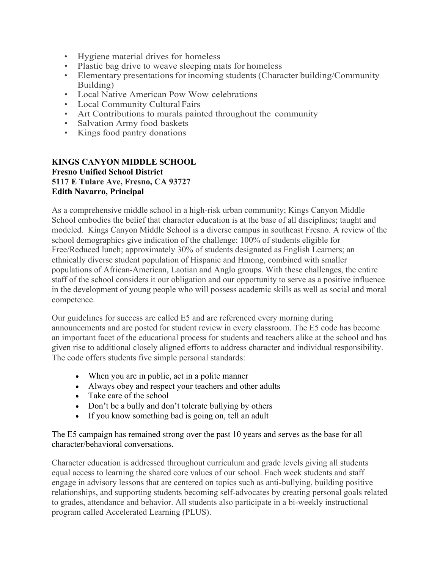- Hygiene material drives for homeless
- Plastic bag drive to weave sleeping mats for homeless
- Elementary presentations for incoming students (Character building/Community Building)
- Local Native American Pow Wow celebrations
- Local Community Cultural Fairs
- Art Contributions to murals painted throughout the community
- Salvation Army food baskets
- Kings food pantry donations

#### **KINGS CANYON MIDDLE SCHOOL Fresno Unified School District 5117 E Tulare Ave, Fresno, CA 93727 Edith Navarro, Principal**

As a comprehensive middle school in a high-risk urban community; Kings Canyon Middle School embodies the belief that character education is at the base of all disciplines; taught and modeled. Kings Canyon Middle School is a diverse campus in southeast Fresno. A review of the school demographics give indication of the challenge: 100% of students eligible for Free/Reduced lunch; approximately 30% of students designated as English Learners; an ethnically diverse student population of Hispanic and Hmong, combined with smaller populations of African-American, Laotian and Anglo groups. With these challenges, the entire staff of the school considers it our obligation and our opportunity to serve as a positive influence in the development of young people who will possess academic skills as well as social and moral competence.

Our guidelines for success are called E5 and are referenced every morning during announcements and are posted for student review in every classroom. The E5 code has become an important facet of the educational process for students and teachers alike at the school and has given rise to additional closely aligned efforts to address character and individual responsibility. The code offers students five simple personal standards:

- When you are in public, act in a polite manner
- Always obey and respect your teachers and other adults
- Take care of the school
- Don't be a bully and don't tolerate bullying by others
- If you know something bad is going on, tell an adult

The E5 campaign has remained strong over the past 10 years and serves as the base for all character/behavioral conversations.

Character education is addressed throughout curriculum and grade levels giving all students equal access to learning the shared core values of our school. Each week students and staff engage in advisory lessons that are centered on topics such as anti-bullying, building positive relationships, and supporting students becoming self-advocates by creating personal goals related to grades, attendance and behavior. All students also participate in a bi-weekly instructional program called Accelerated Learning (PLUS).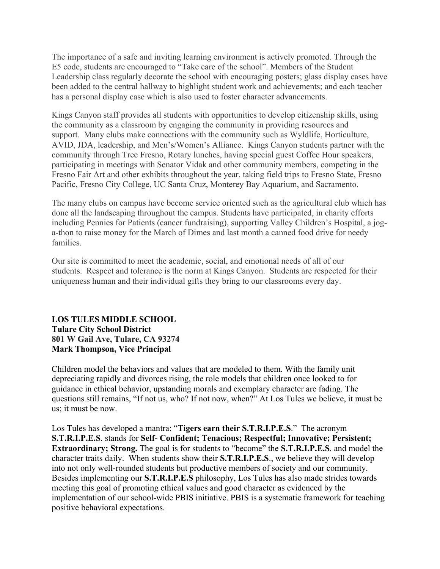The importance of a safe and inviting learning environment is actively promoted. Through the E5 code, students are encouraged to "Take care of the school". Members of the Student Leadership class regularly decorate the school with encouraging posters; glass display cases have been added to the central hallway to highlight student work and achievements; and each teacher has a personal display case which is also used to foster character advancements.

Kings Canyon staff provides all students with opportunities to develop citizenship skills, using the community as a classroom by engaging the community in providing resources and support. Many clubs make connections with the community such as Wyldlife, Horticulture, AVID, JDA, leadership, and Men's/Women's Alliance. Kings Canyon students partner with the community through Tree Fresno, Rotary lunches, having special guest Coffee Hour speakers, participating in meetings with Senator Vidak and other community members, competing in the Fresno Fair Art and other exhibits throughout the year, taking field trips to Fresno State, Fresno Pacific, Fresno City College, UC Santa Cruz, Monterey Bay Aquarium, and Sacramento.

The many clubs on campus have become service oriented such as the agricultural club which has done all the landscaping throughout the campus. Students have participated, in charity efforts including Pennies for Patients (cancer fundraising), supporting Valley Children's Hospital, a joga-thon to raise money for the March of Dimes and last month a canned food drive for needy families.

Our site is committed to meet the academic, social, and emotional needs of all of our students. Respect and tolerance is the norm at Kings Canyon. Students are respected for their uniqueness human and their individual gifts they bring to our classrooms every day.

## **LOS TULES MIDDLE SCHOOL Tulare City School District 801 W Gail Ave, Tulare, CA 93274 Mark Thompson, Vice Principal**

Children model the behaviors and values that are modeled to them. With the family unit depreciating rapidly and divorces rising, the role models that children once looked to for guidance in ethical behavior, upstanding morals and exemplary character are fading. The questions still remains, "If not us, who? If not now, when?" At Los Tules we believe, it must be us; it must be now.

Los Tules has developed a mantra: "**Tigers earn their S.T.R.I.P.E.S**." The acronym **S.T.R.I.P.E.S**. stands for **Self- Confident; Tenacious; Respectful; Innovative; Persistent; Extraordinary; Strong.** The goal is for students to "become" the **S.T.R.I.P.E.S**. and model the character traits daily. When students show their **S.T.R.I.P.E.S**., we believe they will develop into not only well-rounded students but productive members of society and our community. Besides implementing our **S.T.R.I.P.E.S** philosophy, Los Tules has also made strides towards meeting this goal of promoting ethical values and good character as evidenced by the implementation of our school-wide PBIS initiative. PBIS is a systematic framework for teaching positive behavioral expectations.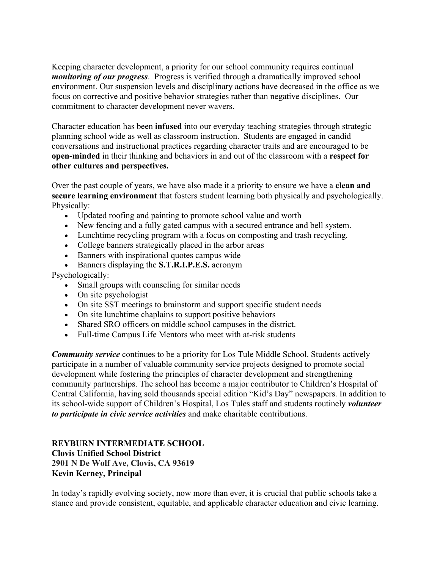Keeping character development, a priority for our school community requires continual *monitoring of our progress*. Progress is verified through a dramatically improved school environment. Our suspension levels and disciplinary actions have decreased in the office as we focus on corrective and positive behavior strategies rather than negative disciplines. Our commitment to character development never wavers.

Character education has been **infused** into our everyday teaching strategies through strategic planning school wide as well as classroom instruction. Students are engaged in candid conversations and instructional practices regarding character traits and are encouraged to be **open-minded** in their thinking and behaviors in and out of the classroom with a **respect for other cultures and perspectives.** 

Over the past couple of years, we have also made it a priority to ensure we have a **clean and secure learning environment** that fosters student learning both physically and psychologically. Physically:

- Updated roofing and painting to promote school value and worth
- New fencing and a fully gated campus with a secured entrance and bell system.
- Lunchtime recycling program with a focus on composting and trash recycling.
- College banners strategically placed in the arbor areas
- Banners with inspirational quotes campus wide
- Banners displaying the **S.T.R.I.P.E.S.** acronym

Psychologically:

- Small groups with counseling for similar needs
- On site psychologist
- On site SST meetings to brainstorm and support specific student needs
- On site lunchtime chaplains to support positive behaviors
- Shared SRO officers on middle school campuses in the district.
- Full-time Campus Life Mentors who meet with at-risk students

*Community service* continues to be a priority for Los Tule Middle School. Students actively participate in a number of valuable community service projects designed to promote social development while fostering the principles of character development and strengthening community partnerships. The school has become a major contributor to Children's Hospital of Central California, having sold thousands special edition "Kid's Day" newspapers. In addition to its school-wide support of Children's Hospital, Los Tules staff and students routinely *volunteer to participate in civic service activities* and make charitable contributions.

**REYBURN INTERMEDIATE SCHOOL Clovis Unified School District 2901 N De Wolf Ave, Clovis, CA 93619 Kevin Kerney, Principal** 

In today's rapidly evolving society, now more than ever, it is crucial that public schools take a stance and provide consistent, equitable, and applicable character education and civic learning.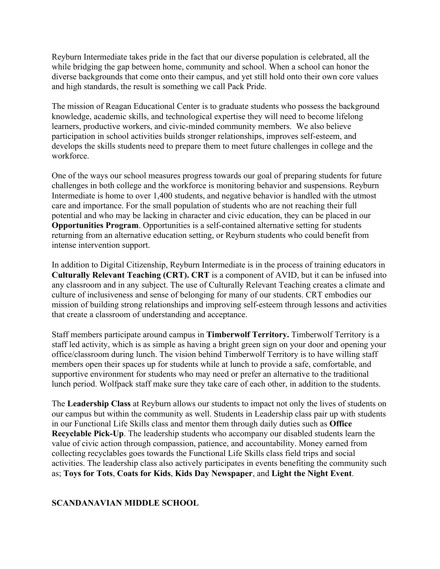Reyburn Intermediate takes pride in the fact that our diverse population is celebrated, all the while bridging the gap between home, community and school. When a school can honor the diverse backgrounds that come onto their campus, and yet still hold onto their own core values and high standards, the result is something we call Pack Pride.

The mission of Reagan Educational Center is to graduate students who possess the background knowledge, academic skills, and technological expertise they will need to become lifelong learners, productive workers, and civic-minded community members. We also believe participation in school activities builds stronger relationships, improves self-esteem, and develops the skills students need to prepare them to meet future challenges in college and the workforce.

One of the ways our school measures progress towards our goal of preparing students for future challenges in both college and the workforce is monitoring behavior and suspensions. Reyburn Intermediate is home to over 1,400 students, and negative behavior is handled with the utmost care and importance. For the small population of students who are not reaching their full potential and who may be lacking in character and civic education, they can be placed in our **Opportunities Program**. Opportunities is a self-contained alternative setting for students returning from an alternative education setting, or Reyburn students who could benefit from intense intervention support.

In addition to Digital Citizenship, Reyburn Intermediate is in the process of training educators in **Culturally Relevant Teaching (CRT). CRT** is a component of AVID, but it can be infused into any classroom and in any subject. The use of Culturally Relevant Teaching creates a climate and culture of inclusiveness and sense of belonging for many of our students. CRT embodies our mission of building strong relationships and improving self-esteem through lessons and activities that create a classroom of understanding and acceptance.

Staff members participate around campus in **Timberwolf Territory.** Timberwolf Territory is a staff led activity, which is as simple as having a bright green sign on your door and opening your office/classroom during lunch. The vision behind Timberwolf Territory is to have willing staff members open their spaces up for students while at lunch to provide a safe, comfortable, and supportive environment for students who may need or prefer an alternative to the traditional lunch period. Wolfpack staff make sure they take care of each other, in addition to the students.

The **Leadership Class** at Reyburn allows our students to impact not only the lives of students on our campus but within the community as well. Students in Leadership class pair up with students in our Functional Life Skills class and mentor them through daily duties such as **Office Recyclable Pick-Up**. The leadership students who accompany our disabled students learn the value of civic action through compassion, patience, and accountability. Money earned from collecting recyclables goes towards the Functional Life Skills class field trips and social activities. The leadership class also actively participates in events benefiting the community such as; **Toys for Tots**, **Coats for Kids**, **Kids Day Newspaper**, and **Light the Night Event**.

#### **SCANDANAVIAN MIDDLE SCHOOL**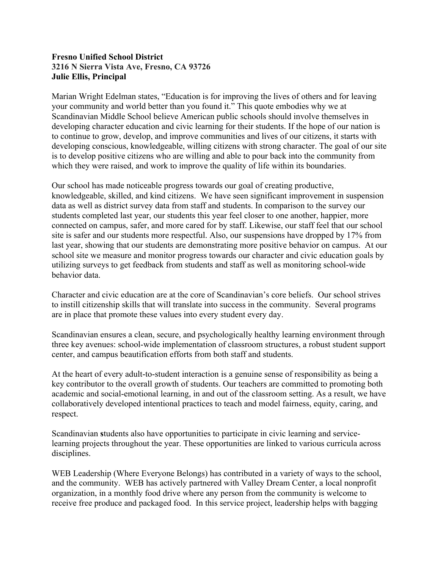#### **Fresno Unified School District 3216 N Sierra Vista Ave, Fresno, CA 93726 Julie Ellis, Principal**

Marian Wright Edelman states, "Education is for improving the lives of others and for leaving your community and world better than you found it." This quote embodies why we at Scandinavian Middle School believe American public schools should involve themselves in developing character education and civic learning for their students. If the hope of our nation is to continue to grow, develop, and improve communities and lives of our citizens, it starts with developing conscious, knowledgeable, willing citizens with strong character. The goal of our site is to develop positive citizens who are willing and able to pour back into the community from which they were raised, and work to improve the quality of life within its boundaries.

Our school has made noticeable progress towards our goal of creating productive, knowledgeable, skilled, and kind citizens. We have seen significant improvement in suspension data as well as district survey data from staff and students. In comparison to the survey our students completed last year, our students this year feel closer to one another, happier, more connected on campus, safer, and more cared for by staff. Likewise, our staff feel that our school site is safer and our students more respectful. Also, our suspensions have dropped by 17% from last year, showing that our students are demonstrating more positive behavior on campus. At our school site we measure and monitor progress towards our character and civic education goals by utilizing surveys to get feedback from students and staff as well as monitoring school-wide behavior data.

Character and civic education are at the core of Scandinavian's core beliefs. Our school strives to instill citizenship skills that will translate into success in the community. Several programs are in place that promote these values into every student every day.

Scandinavian ensures a clean, secure, and psychologically healthy learning environment through three key avenues: school-wide implementation of classroom structures, a robust student support center, and campus beautification efforts from both staff and students.

At the heart of every adult-to-student interaction is a genuine sense of responsibility as being a key contributor to the overall growth of students. Our teachers are committed to promoting both academic and social-emotional learning, in and out of the classroom setting. As a result, we have collaboratively developed intentional practices to teach and model fairness, equity, caring, and respect.

Scandinavian **s**tudents also have opportunities to participate in civic learning and servicelearning projects throughout the year. These opportunities are linked to various curricula across disciplines.

WEB Leadership (Where Everyone Belongs) has contributed in a variety of ways to the school, and the community. WEB has actively partnered with Valley Dream Center, a local nonprofit organization, in a monthly food drive where any person from the community is welcome to receive free produce and packaged food. In this service project, leadership helps with bagging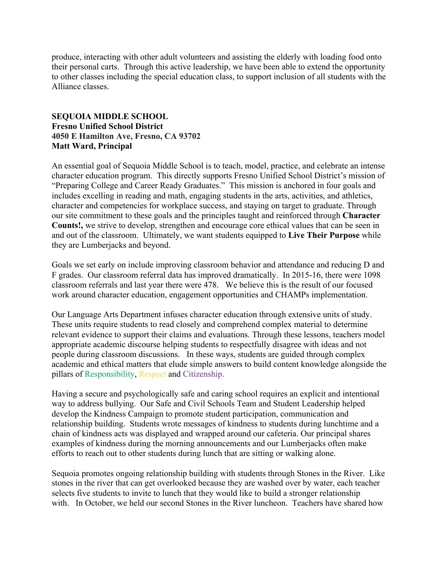produce, interacting with other adult volunteers and assisting the elderly with loading food onto their personal carts. Through this active leadership, we have been able to extend the opportunity to other classes including the special education class, to support inclusion of all students with the Alliance classes.

#### **SEQUOIA MIDDLE SCHOOL Fresno Unified School District 4050 E Hamilton Ave, Fresno, CA 93702 Matt Ward, Principal**

An essential goal of Sequoia Middle School is to teach, model, practice, and celebrate an intense character education program. This directly supports Fresno Unified School District's mission of "Preparing College and Career Ready Graduates." This mission is anchored in four goals and includes excelling in reading and math, engaging students in the arts, activities, and athletics, character and competencies for workplace success, and staying on target to graduate. Through our site commitment to these goals and the principles taught and reinforced through **Character Counts!,** we strive to develop, strengthen and encourage core ethical values that can be seen in and out of the classroom. Ultimately, we want students equipped to **Live Their Purpose** while they are Lumberjacks and beyond.

Goals we set early on include improving classroom behavior and attendance and reducing D and F grades. Our classroom referral data has improved dramatically. In 2015-16, there were 1098 classroom referrals and last year there were 478. We believe this is the result of our focused work around character education, engagement opportunities and CHAMPs implementation.

Our Language Arts Department infuses character education through extensive units of study. These units require students to read closely and comprehend complex material to determine relevant evidence to support their claims and evaluations. Through these lessons, teachers model appropriate academic discourse helping students to respectfully disagree with ideas and not people during classroom discussions. In these ways, students are guided through complex academic and ethical matters that elude simple answers to build content knowledge alongside the pillars of Responsibility, Respect and Citizenship.

Having a secure and psychologically safe and caring school requires an explicit and intentional way to address bullying. Our Safe and Civil Schools Team and Student Leadership helped develop the Kindness Campaign to promote student participation, communication and relationship building. Students wrote messages of kindness to students during lunchtime and a chain of kindness acts was displayed and wrapped around our cafeteria. Our principal shares examples of kindness during the morning announcements and our Lumberjacks often make efforts to reach out to other students during lunch that are sitting or walking alone.

Sequoia promotes ongoing relationship building with students through Stones in the River. Like stones in the river that can get overlooked because they are washed over by water, each teacher selects five students to invite to lunch that they would like to build a stronger relationship with. In October, we held our second Stones in the River luncheon. Teachers have shared how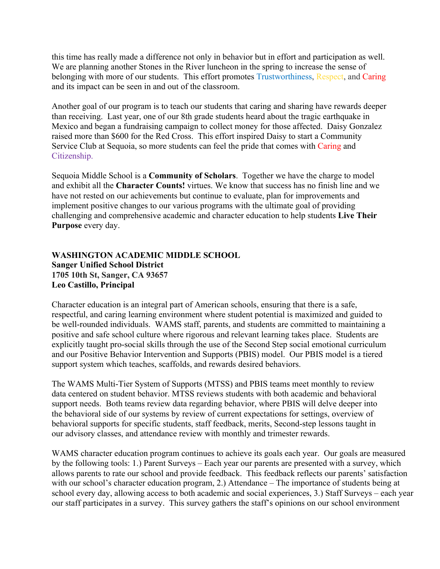this time has really made a difference not only in behavior but in effort and participation as well. We are planning another Stones in the River luncheon in the spring to increase the sense of belonging with more of our students. This effort promotes Trustworthiness, Respect, and Caring and its impact can be seen in and out of the classroom.

Another goal of our program is to teach our students that caring and sharing have rewards deeper than receiving. Last year, one of our 8th grade students heard about the tragic earthquake in Mexico and began a fundraising campaign to collect money for those affected. Daisy Gonzalez raised more than \$600 for the Red Cross. This effort inspired Daisy to start a Community Service Club at Sequoia, so more students can feel the pride that comes with Caring and Citizenship.

Sequoia Middle School is a **Community of Scholars**. Together we have the charge to model and exhibit all the **Character Counts!** virtues. We know that success has no finish line and we have not rested on our achievements but continue to evaluate, plan for improvements and implement positive changes to our various programs with the ultimate goal of providing challenging and comprehensive academic and character education to help students **Live Their Purpose** every day.

## **WASHINGTON ACADEMIC MIDDLE SCHOOL Sanger Unified School District 1705 10th St, Sanger, CA 93657 Leo Castillo, Principal**

Character education is an integral part of American schools, ensuring that there is a safe, respectful, and caring learning environment where student potential is maximized and guided to be well-rounded individuals. WAMS staff, parents, and students are committed to maintaining a positive and safe school culture where rigorous and relevant learning takes place. Students are explicitly taught pro-social skills through the use of the Second Step social emotional curriculum and our Positive Behavior Intervention and Supports (PBIS) model. Our PBIS model is a tiered support system which teaches, scaffolds, and rewards desired behaviors.

The WAMS Multi-Tier System of Supports (MTSS) and PBIS teams meet monthly to review data centered on student behavior. MTSS reviews students with both academic and behavioral support needs. Both teams review data regarding behavior, where PBIS will delve deeper into the behavioral side of our systems by review of current expectations for settings, overview of behavioral supports for specific students, staff feedback, merits, Second-step lessons taught in our advisory classes, and attendance review with monthly and trimester rewards.

WAMS character education program continues to achieve its goals each year. Our goals are measured by the following tools: 1.) Parent Surveys – Each year our parents are presented with a survey, which allows parents to rate our school and provide feedback. This feedback reflects our parents' satisfaction with our school's character education program, 2.) Attendance – The importance of students being at school every day, allowing access to both academic and social experiences, 3.) Staff Surveys – each year our staff participates in a survey. This survey gathers the staff's opinions on our school environment